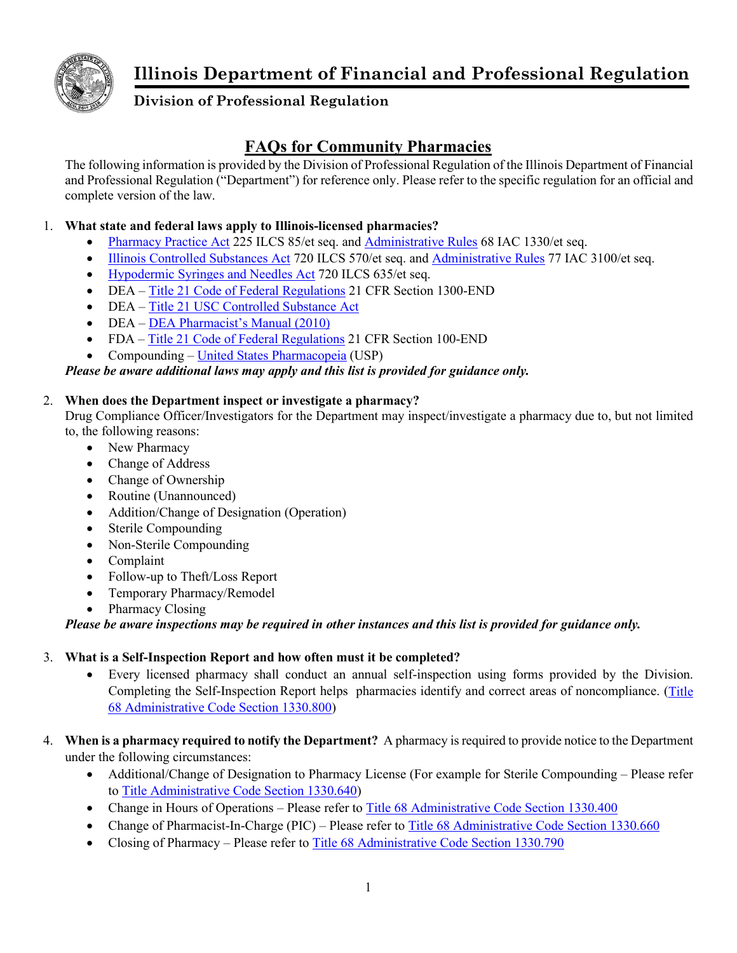

# **Illinois Department of Financial and Professional Regulation**

# **Division of Professional Regulation**

# **FAQs for Community Pharmacies**

The following information is provided by the Division of Professional Regulation of the Illinois Department of Financial and Professional Regulation ("Department") for reference only. Please refer to the specific regulation for an official and complete version of the law.

## 1. **What state and federal laws apply to Illinois-licensed pharmacies?**

- [Pharmacy Practice Act](http://www.ilga.gov/legislation/ilcs/ilcs3.asp?ActID=1318&ChapterID=24) 225 ILCS 85/et seq. and [Administrative Rules](http://www.ilga.gov/commission/jcar/admincode/068/06801330sections.html) 68 IAC 1330/et seq.
- [Illinois Controlled Substances Act](http://www.ilga.gov/legislation/ilcs/ilcs5.asp?ActID=1941&ChapterID=53) 720 ILCS 570/et seq. and [Administrative Rules](http://www.ilga.gov/commission/jcar/admincode/077/07703100sections.html) 77 IAC 3100/et seq.
- [Hypodermic Syringes and Needles Act](http://www.ilga.gov/legislation/ilcs/ilcs3.asp?ActID=1954&ChapterID=53) 720 ILCS 635/et seq.
- DEA [Title 21 Code of Federal Regulations](https://www.deadiversion.usdoj.gov/) 21 CFR Section 1300-END
- DEA Title 21 USC Controlled Substance Act
- DEA [DEA Pharmacist's Manual \(2010\)](https://www.deadiversion.usdoj.gov/pubs/manuals/pharm2/pharm_manual.pdf)
- FDA [Title 21 Code of Federal Regulations](https://www.ecfr.gov/cgi-bin/text-idx?SID=3ee286332416f26a91d9e6d786a604ab&mc=true&tpl=/ecfrbrowse/Title21/21tab_02.tpl) 21 CFR Section 100-END
- Compounding [United States Pharmacopeia](https://www.usp.org/compounding) (USP)

## *Please be aware additional laws may apply and this list is provided for guidance only.*

### 2. **When does the Department inspect or investigate a pharmacy?**

Drug Compliance Officer/Investigators for the Department may inspect/investigate a pharmacy due to, but not limited to, the following reasons:

- New Pharmacy
- Change of Address
- Change of Ownership
- Routine (Unannounced)
- Addition/Change of Designation (Operation)
- Sterile Compounding
- Non-Sterile Compounding
- Complaint
- Follow-up to Theft/Loss Report
- Temporary Pharmacy/Remodel
- Pharmacy Closing

*Please be aware inspections may be required in other instances and this list is provided for guidance only.*

#### 3. **What is a Self-Inspection Report and how often must it be completed?**

- Every licensed pharmacy shall conduct an annual self-inspection using forms provided by the Division. Completing the Self-Inspection Report helps pharmacies identify and correct areas of noncompliance. [\(Title](https://www.ilga.gov/commission/jcar/admincode/068/068013300G08000R.html)  [68 Administrative Code Section 1330.800\)](https://www.ilga.gov/commission/jcar/admincode/068/068013300G08000R.html)
- 4. **When is a pharmacy required to notify the Department?** A pharmacy is required to provide notice to the Department under the following circumstances:
	- Additional/Change of Designation to Pharmacy License (For example for Sterile Compounding Please refer to [Title Administrative Code Section 1330.640\)](http://www.ilga.gov/commission/jcar/admincode/068/068013300F06400R.html)
	- Change in Hours of Operations Please refer to [Title 68 Administrative Code Section 1330.400](http://www.ilga.gov/commission/jcar/admincode/068/068013300D04000R.html)
	- Change of Pharmacist-In-Charge (PIC) Please refer to [Title 68 Administrative Code Section 1330.660](http://www.ilga.gov/commission/jcar/admincode/068/068013300F06600R.html)
	- Closing of Pharmacy Please refer to [Title 68 Administrative Code Section 1330.790](http://www.ilga.gov/commission/jcar/admincode/068/068013300G07900R.html)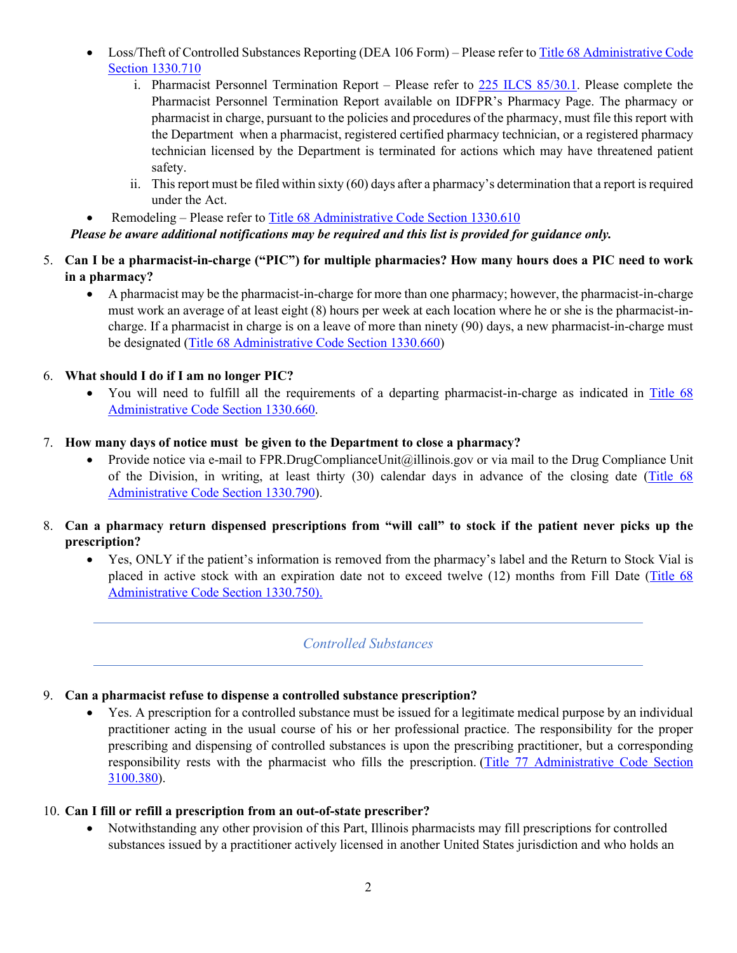- Loss/Theft of Controlled Substances Reporting (DEA 106 Form) Please refer to Title 68 Administrative Code [Section 1330.710](http://www.ilga.gov/commission/jcar/admincode/068/068013300G07100R.html)
	- i. Pharmacist Personnel Termination Report Please refer to [225 ILCS 85/30.1.](https://www.ilga.gov/legislation/ilcs/ilcs3.asp?ActID=1318&ChapterID=24) Please complete the Pharmacist Personnel Termination Report available on IDFPR's Pharmacy Page. The pharmacy or pharmacist in charge, pursuant to the policies and procedures of the pharmacy, must file this report with the Department when a pharmacist, registered certified pharmacy technician, or a registered pharmacy technician licensed by the Department is terminated for actions which may have threatened patient safety.
	- ii. This report must be filed within sixty (60) days after a pharmacy's determination that a report is required under the Act.
	- Remodeling Please refer to Title 68 Administrative Code Section 1330.610
- *Please be aware additional notifications may be required and this list is provided for guidance only.*
- 5. **Can I be a pharmacist-in-charge ("PIC") for multiple pharmacies? How many hours does a PIC need to work in a pharmacy?**
	- A pharmacist may be the pharmacist-in-charge for more than one pharmacy; however, the pharmacist-in-charge must work an average of at least eight (8) hours per week at each location where he or she is the pharmacist-incharge. If a pharmacist in charge is on a leave of more than ninety (90) days, a new pharmacist-in-charge must be designated [\(Title 68 Administrative Code Section 1330.660\)](https://www.ilga.gov/commission/jcar/admincode/068/068013300F06600R.html)
- 6. **What should I do if I am no longer PIC?**
	- You will need to fulfill all the requirements of a departing pharmacist-in-charge as indicated in [Title 68](https://www.ilga.gov/commission/jcar/admincode/068/068013300F06600R.html)  [Administrative Code Section 1330.660.](https://www.ilga.gov/commission/jcar/admincode/068/068013300F06600R.html)
- 7. **How many days of notice must be given to the Department to close a pharmacy?**
	- Provide notice via e-mail to FPR.DrugComplianceUnit@illinois.gov or via mail to the Drug Compliance Unit of the Division, in writing, at least thirty (30) calendar days in advance of the closing date [\(Title 68](https://www.ilga.gov/commission/jcar/admincode/068/068013300G07900R.html)  [Administrative Code Section 1330.790\)](https://www.ilga.gov/commission/jcar/admincode/068/068013300G07900R.html).
- 8. **Can a pharmacy return dispensed prescriptions from "will call" to stock if the patient never picks up the prescription?**
	- Yes, ONLY if the patient's information is removed from the pharmacy's label and the Return to Stock Vial is placed in active stock with an expiration date not to exceed twelve (12) months from Fill Date (Title 68 [Administrative Code Section 1330.750\).](https://www.ilga.gov/commission/jcar/admincode/068/068013300G07500R.html)

# *Controlled Substances*

#### 9. **Can a pharmacist refuse to dispense a controlled substance prescription?**

• Yes. A prescription for a controlled substance must be issued for a legitimate medical purpose by an individual practitioner acting in the usual course of his or her professional practice. The responsibility for the proper prescribing and dispensing of controlled substances is upon the prescribing practitioner, but a corresponding responsibility rests with the pharmacist who fills the prescription. [\(Title 77 Administrative Code Section](https://www.ilga.gov/commission/jcar/admincode/077/077031000003800R.html)  [3100.380\)](https://www.ilga.gov/commission/jcar/admincode/077/077031000003800R.html).

#### 10. **Can I fill or refill a prescription from an out-of-state prescriber?**

• Notwithstanding any other provision of this Part, Illinois pharmacists may fill prescriptions for controlled substances issued by a practitioner actively licensed in another United States jurisdiction and who holds an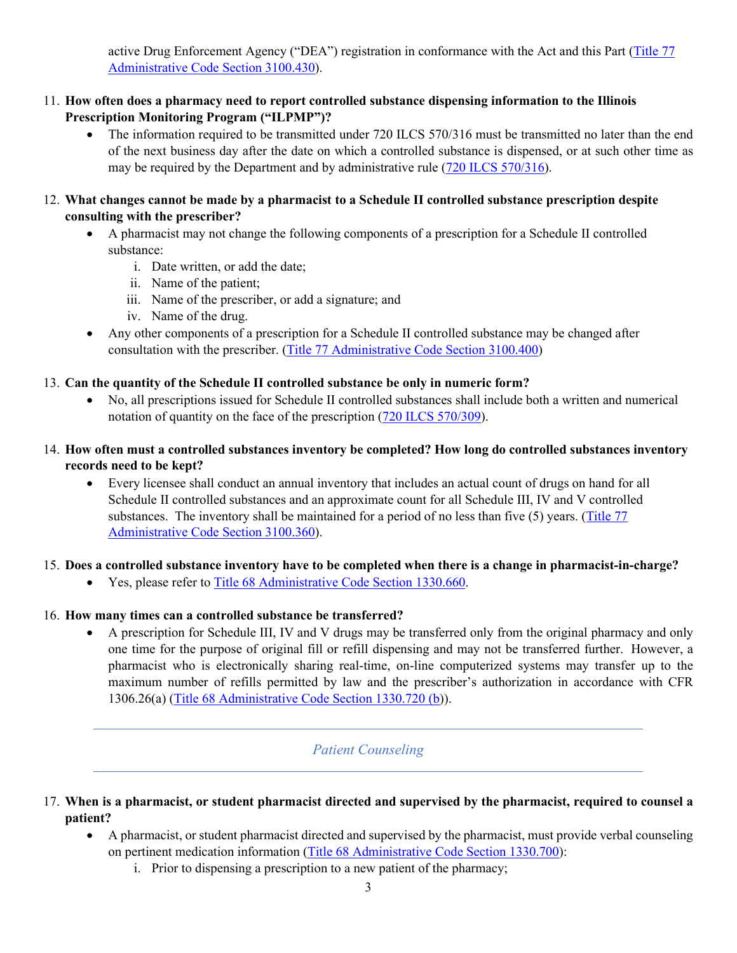active Drug Enforcement Agency ("DEA") registration in conformance with the Act and this Part (Title 77 [Administrative Code Section 3100.430\)](https://www.ilga.gov/commission/jcar/admincode/077/077031000004300R.html).

- 11. **How often does a pharmacy need to report controlled substance dispensing information to the Illinois Prescription Monitoring Program ("ILPMP")?**
	- The information required to be transmitted under 720 ILCS 570/316 must be transmitted no later than the end of the next business day after the date on which a controlled substance is dispensed, or at such other time as may be required by the Department and by administrative rule [\(720 ILCS 570/316\)](https://www.ilga.gov/legislation/ilcs/fulltext.asp?DocName=072005700K316).
- 12. **What changes cannot be made by a pharmacist to a Schedule II controlled substance prescription despite consulting with the prescriber?**
	- A pharmacist may not change the following components of a prescription for a Schedule II controlled substance:
		- i. Date written, or add the date;
		- ii. Name of the patient;
		- iii. Name of the prescriber, or add a signature; and
		- iv. Name of the drug.
	- Any other components of a prescription for a Schedule II controlled substance may be changed after consultation with the prescriber. [\(Title 77 Administrative Code Section 3100.400\)](https://www.ilga.gov/commission/jcar/admincode/077/077031000004000R.html)

### 13. **Can the quantity of the Schedule II controlled substance be only in numeric form?**

- No, all prescriptions issued for Schedule II controlled substances shall include both a written and numerical notation of quantity on the face of the prescription [\(720 ILCS 570/309\)](https://ilga.gov/legislation/ilcs/fulltext.asp?DocName=072005700K309#:%7E:text=On%20or%20after%20April%201,isomers%3B%20phenmetrazine%20and%20its%20salts%3B).
- 14. **How often must a controlled substances inventory be completed? How long do controlled substances inventory records need to be kept?**
	- Every licensee shall conduct an annual inventory that includes an actual count of drugs on hand for all Schedule II controlled substances and an approximate count for all Schedule III, IV and V controlled substances. The inventory shall be maintained for a period of no less than five (5) years. (Title 77 [Administrative Code Section 3100.360\)](https://www.ilga.gov/commission/jcar/admincode/077/077031000003600R.html).

#### 15. **Does a controlled substance inventory have to be completed when there is a change in pharmacist-in-charge?**

• Yes, please refer t[o Title 68 Administrative Code Section 1330.660.](https://www.ilga.gov/commission/jcar/admincode/068/068013300F06600R.html)

#### 16. **How many times can a controlled substance be transferred?**

• A prescription for Schedule III, IV and V drugs may be transferred only from the original pharmacy and only one time for the purpose of original fill or refill dispensing and may not be transferred further. However, a pharmacist who is electronically sharing real-time, on-line computerized systems may transfer up to the maximum number of refills permitted by law and the prescriber's authorization in accordance with CFR 1306.26(a) [\(Title 68 Administrative Code Section 1330.720 \(b\)](https://www.ilga.gov/commission/jcar/admincode/068/068013300G07200R.html)).

# *Patient Counseling*

- 17. **When is a pharmacist, or student pharmacist directed and supervised by the pharmacist, required to counsel a patient?**
	- A pharmacist, or student pharmacist directed and supervised by the pharmacist, must provide verbal counseling on pertinent medication information [\(Title 68 Administrative Code Section 1330.700\)](https://www.ilga.gov/commission/jcar/admincode/068/068013300G07000R.html):
		- i. Prior to dispensing a prescription to a new patient of the pharmacy;